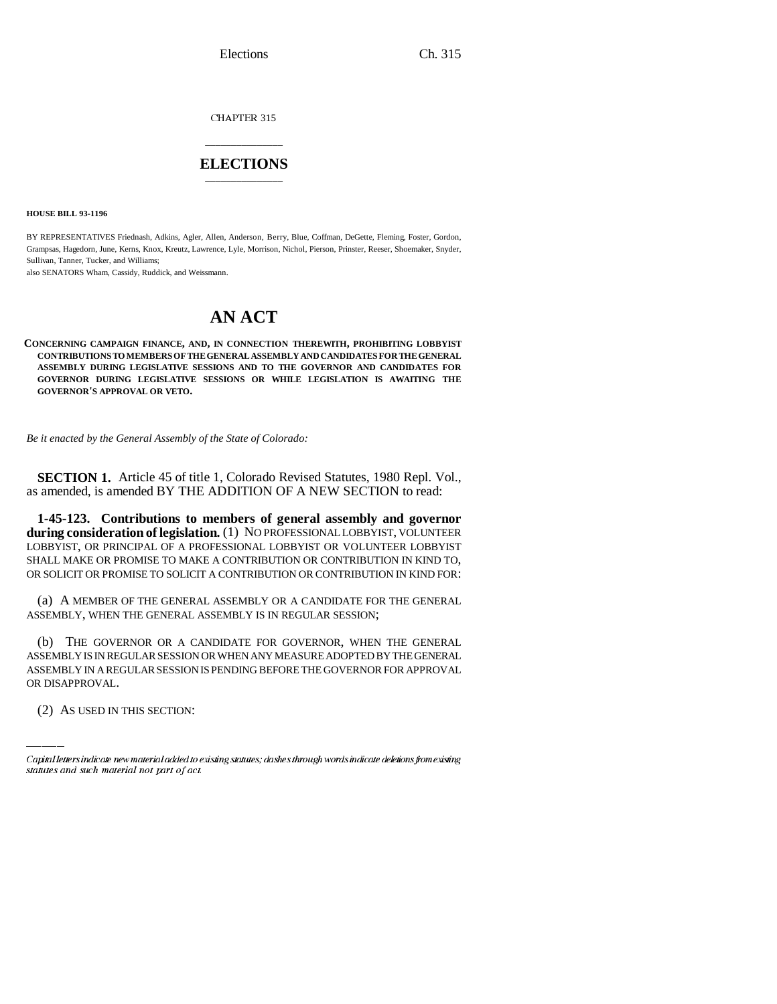Elections Ch. 315

CHAPTER 315

## \_\_\_\_\_\_\_\_\_\_\_\_\_\_\_ **ELECTIONS** \_\_\_\_\_\_\_\_\_\_\_\_\_\_\_

**HOUSE BILL 93-1196**

BY REPRESENTATIVES Friednash, Adkins, Agler, Allen, Anderson, Berry, Blue, Coffman, DeGette, Fleming, Foster, Gordon, Grampsas, Hagedorn, June, Kerns, Knox, Kreutz, Lawrence, Lyle, Morrison, Nichol, Pierson, Prinster, Reeser, Shoemaker, Snyder, Sullivan, Tanner, Tucker, and Williams;

also SENATORS Wham, Cassidy, Ruddick, and Weissmann.

## **AN ACT**

**CONCERNING CAMPAIGN FINANCE, AND, IN CONNECTION THEREWITH, PROHIBITING LOBBYIST CONTRIBUTIONS TO MEMBERS OF THE GENERAL ASSEMBLY AND CANDIDATES FOR THE GENERAL ASSEMBLY DURING LEGISLATIVE SESSIONS AND TO THE GOVERNOR AND CANDIDATES FOR GOVERNOR DURING LEGISLATIVE SESSIONS OR WHILE LEGISLATION IS AWAITING THE GOVERNOR'S APPROVAL OR VETO.**

*Be it enacted by the General Assembly of the State of Colorado:*

**SECTION 1.** Article 45 of title 1, Colorado Revised Statutes, 1980 Repl. Vol., as amended, is amended BY THE ADDITION OF A NEW SECTION to read:

**1-45-123. Contributions to members of general assembly and governor during consideration of legislation.** (1) NO PROFESSIONAL LOBBYIST, VOLUNTEER LOBBYIST, OR PRINCIPAL OF A PROFESSIONAL LOBBYIST OR VOLUNTEER LOBBYIST SHALL MAKE OR PROMISE TO MAKE A CONTRIBUTION OR CONTRIBUTION IN KIND TO, OR SOLICIT OR PROMISE TO SOLICIT A CONTRIBUTION OR CONTRIBUTION IN KIND FOR:

(a) A MEMBER OF THE GENERAL ASSEMBLY OR A CANDIDATE FOR THE GENERAL ASSEMBLY, WHEN THE GENERAL ASSEMBLY IS IN REGULAR SESSION;

ASSEMBLY IS IN REGULAR SESSION OR WHEN ANY MEASURE ADOPTED BY THE GENERAL (b) THE GOVERNOR OR A CANDIDATE FOR GOVERNOR, WHEN THE GENERAL ASSEMBLY IN A REGULAR SESSION IS PENDING BEFORE THE GOVERNOR FOR APPROVAL OR DISAPPROVAL.

(2) AS USED IN THIS SECTION:

Capital letters indicate new material added to existing statutes; dashes through words indicate deletions from existing statutes and such material not part of act.